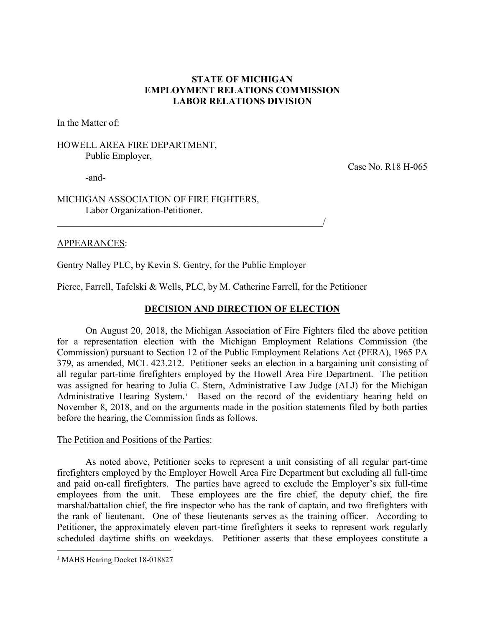# **STATE OF MICHIGAN EMPLOYMENT RELATIONS COMMISSION LABOR RELATIONS DIVISION**

In the Matter of:

# HOWELL AREA FIRE DEPARTMENT, Public Employer,

Case No. R18 H-065

-and-

MICHIGAN ASSOCIATION OF FIRE FIGHTERS, Labor Organization-Petitioner.

### APPEARANCES:

Gentry Nalley PLC, by Kevin S. Gentry, for the Public Employer

\_\_\_\_\_\_\_\_\_\_\_\_\_\_\_\_\_\_\_\_\_\_\_\_\_\_\_\_\_\_\_\_\_\_\_\_\_\_\_\_\_\_\_\_\_\_\_\_\_\_\_\_\_\_\_\_/

Pierce, Farrell, Tafelski & Wells, PLC, by M. Catherine Farrell, for the Petitioner

## **DECISION AND DIRECTION OF ELECTION**

On August 20, 2018, the Michigan Association of Fire Fighters filed the above petition for a representation election with the Michigan Employment Relations Commission (the Commission) pursuant to Section 12 of the Public Employment Relations Act (PERA), 1965 PA 379, as amended, MCL 423.212. Petitioner seeks an election in a bargaining unit consisting of all regular part-time firefighters employed by the Howell Area Fire Department. The petition was assigned for hearing to Julia C. Stern, Administrative Law Judge (ALJ) for the Michigan Administrative Hearing System.*[1](#page-0-0)* Based on the record of the evidentiary hearing held on November 8, 2018, and on the arguments made in the position statements filed by both parties before the hearing, the Commission finds as follows.

#### The Petition and Positions of the Parties:

As noted above, Petitioner seeks to represent a unit consisting of all regular part-time firefighters employed by the Employer Howell Area Fire Department but excluding all full-time and paid on-call firefighters. The parties have agreed to exclude the Employer's six full-time employees from the unit. These employees are the fire chief, the deputy chief, the fire marshal/battalion chief, the fire inspector who has the rank of captain, and two firefighters with the rank of lieutenant. One of these lieutenants serves as the training officer. According to Petitioner, the approximately eleven part-time firefighters it seeks to represent work regularly scheduled daytime shifts on weekdays. Petitioner asserts that these employees constitute a

 $\overline{a}$ 

<span id="page-0-0"></span>*<sup>1</sup>* MAHS Hearing Docket 18-018827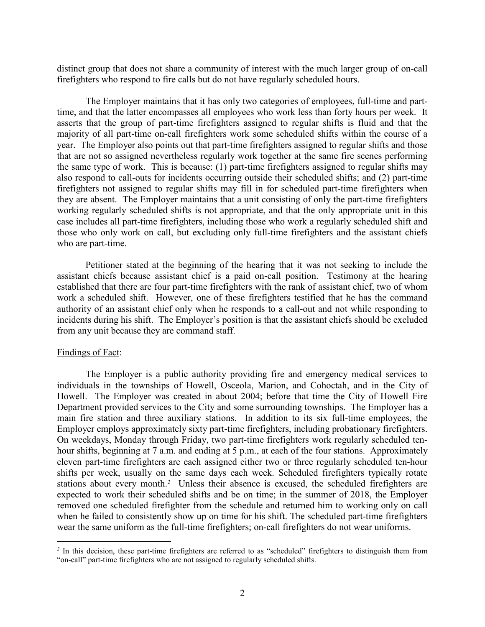distinct group that does not share a community of interest with the much larger group of on-call firefighters who respond to fire calls but do not have regularly scheduled hours.

The Employer maintains that it has only two categories of employees, full-time and parttime, and that the latter encompasses all employees who work less than forty hours per week. It asserts that the group of part-time firefighters assigned to regular shifts is fluid and that the majority of all part-time on-call firefighters work some scheduled shifts within the course of a year. The Employer also points out that part-time firefighters assigned to regular shifts and those that are not so assigned nevertheless regularly work together at the same fire scenes performing the same type of work. This is because: (1) part-time firefighters assigned to regular shifts may also respond to call-outs for incidents occurring outside their scheduled shifts; and (2) part-time firefighters not assigned to regular shifts may fill in for scheduled part-time firefighters when they are absent. The Employer maintains that a unit consisting of only the part-time firefighters working regularly scheduled shifts is not appropriate, and that the only appropriate unit in this case includes all part-time firefighters, including those who work a regularly scheduled shift and those who only work on call, but excluding only full-time firefighters and the assistant chiefs who are part-time.

Petitioner stated at the beginning of the hearing that it was not seeking to include the assistant chiefs because assistant chief is a paid on-call position. Testimony at the hearing established that there are four part-time firefighters with the rank of assistant chief, two of whom work a scheduled shift. However, one of these firefighters testified that he has the command authority of an assistant chief only when he responds to a call-out and not while responding to incidents during his shift. The Employer's position is that the assistant chiefs should be excluded from any unit because they are command staff.

#### Findings of Fact:

 $\overline{a}$ 

The Employer is a public authority providing fire and emergency medical services to individuals in the townships of Howell, Osceola, Marion, and Cohoctah, and in the City of Howell. The Employer was created in about 2004; before that time the City of Howell Fire Department provided services to the City and some surrounding townships. The Employer has a main fire station and three auxiliary stations. In addition to its six full-time employees, the Employer employs approximately sixty part-time firefighters, including probationary firefighters. On weekdays, Monday through Friday, two part-time firefighters work regularly scheduled tenhour shifts, beginning at 7 a.m. and ending at 5 p.m., at each of the four stations. Approximately eleven part-time firefighters are each assigned either two or three regularly scheduled ten-hour shifts per week, usually on the same days each week. Scheduled firefighters typically rotate stations about every month. *[2](#page-1-0)* Unless their absence is excused, the scheduled firefighters are expected to work their scheduled shifts and be on time; in the summer of 2018, the Employer removed one scheduled firefighter from the schedule and returned him to working only on call when he failed to consistently show up on time for his shift. The scheduled part-time firefighters wear the same uniform as the full-time firefighters; on-call firefighters do not wear uniforms.

<span id="page-1-0"></span>*<sup>2</sup>* In this decision, these part-time firefighters are referred to as "scheduled" firefighters to distinguish them from "on-call" part-time firefighters who are not assigned to regularly scheduled shifts.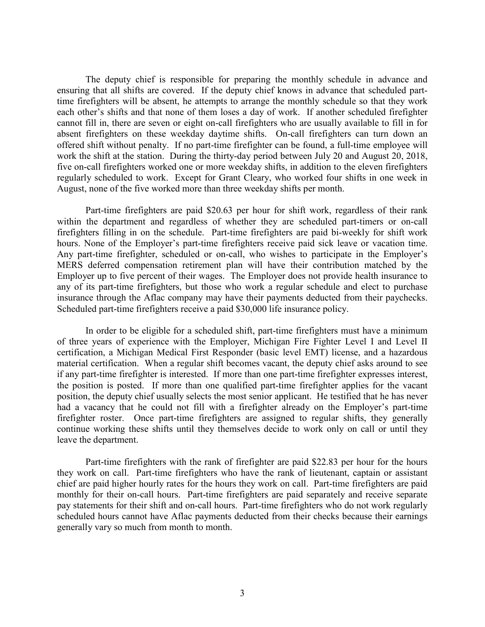The deputy chief is responsible for preparing the monthly schedule in advance and ensuring that all shifts are covered. If the deputy chief knows in advance that scheduled parttime firefighters will be absent, he attempts to arrange the monthly schedule so that they work each other's shifts and that none of them loses a day of work. If another scheduled firefighter cannot fill in, there are seven or eight on-call firefighters who are usually available to fill in for absent firefighters on these weekday daytime shifts. On-call firefighters can turn down an offered shift without penalty. If no part-time firefighter can be found, a full-time employee will work the shift at the station. During the thirty-day period between July 20 and August 20, 2018, five on-call firefighters worked one or more weekday shifts, in addition to the eleven firefighters regularly scheduled to work. Except for Grant Cleary, who worked four shifts in one week in August, none of the five worked more than three weekday shifts per month.

Part-time firefighters are paid \$20.63 per hour for shift work, regardless of their rank within the department and regardless of whether they are scheduled part-timers or on-call firefighters filling in on the schedule. Part-time firefighters are paid bi-weekly for shift work hours. None of the Employer's part-time firefighters receive paid sick leave or vacation time. Any part-time firefighter, scheduled or on-call, who wishes to participate in the Employer's MERS deferred compensation retirement plan will have their contribution matched by the Employer up to five percent of their wages. The Employer does not provide health insurance to any of its part-time firefighters, but those who work a regular schedule and elect to purchase insurance through the Aflac company may have their payments deducted from their paychecks. Scheduled part-time firefighters receive a paid \$30,000 life insurance policy.

In order to be eligible for a scheduled shift, part-time firefighters must have a minimum of three years of experience with the Employer, Michigan Fire Fighter Level I and Level II certification, a Michigan Medical First Responder (basic level EMT) license, and a hazardous material certification. When a regular shift becomes vacant, the deputy chief asks around to see if any part-time firefighter is interested. If more than one part-time firefighter expresses interest, the position is posted. If more than one qualified part-time firefighter applies for the vacant position, the deputy chief usually selects the most senior applicant. He testified that he has never had a vacancy that he could not fill with a firefighter already on the Employer's part-time firefighter roster. Once part-time firefighters are assigned to regular shifts, they generally continue working these shifts until they themselves decide to work only on call or until they leave the department.

Part-time firefighters with the rank of firefighter are paid \$22.83 per hour for the hours they work on call. Part-time firefighters who have the rank of lieutenant, captain or assistant chief are paid higher hourly rates for the hours they work on call. Part-time firefighters are paid monthly for their on-call hours. Part-time firefighters are paid separately and receive separate pay statements for their shift and on-call hours. Part-time firefighters who do not work regularly scheduled hours cannot have Aflac payments deducted from their checks because their earnings generally vary so much from month to month.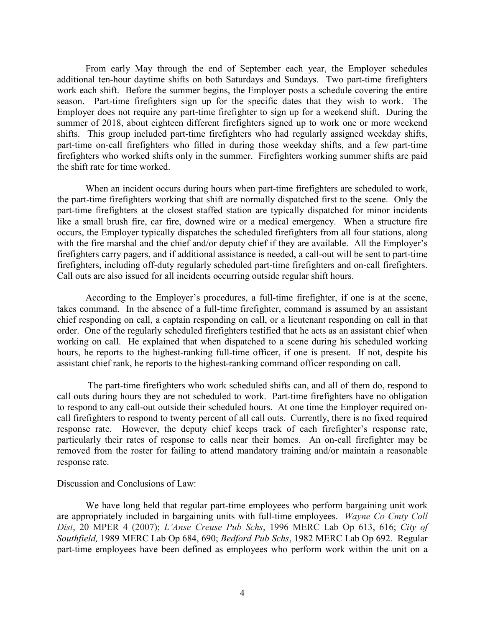From early May through the end of September each year, the Employer schedules additional ten-hour daytime shifts on both Saturdays and Sundays. Two part-time firefighters work each shift. Before the summer begins, the Employer posts a schedule covering the entire season. Part-time firefighters sign up for the specific dates that they wish to work. The Employer does not require any part-time firefighter to sign up for a weekend shift. During the summer of 2018, about eighteen different firefighters signed up to work one or more weekend shifts. This group included part-time firefighters who had regularly assigned weekday shifts, part-time on-call firefighters who filled in during those weekday shifts, and a few part-time firefighters who worked shifts only in the summer. Firefighters working summer shifts are paid the shift rate for time worked.

When an incident occurs during hours when part-time firefighters are scheduled to work, the part-time firefighters working that shift are normally dispatched first to the scene. Only the part-time firefighters at the closest staffed station are typically dispatched for minor incidents like a small brush fire, car fire, downed wire or a medical emergency. When a structure fire occurs, the Employer typically dispatches the scheduled firefighters from all four stations, along with the fire marshal and the chief and/or deputy chief if they are available. All the Employer's firefighters carry pagers, and if additional assistance is needed, a call-out will be sent to part-time firefighters, including off-duty regularly scheduled part-time firefighters and on-call firefighters. Call outs are also issued for all incidents occurring outside regular shift hours.

According to the Employer's procedures, a full-time firefighter, if one is at the scene, takes command. In the absence of a full-time firefighter, command is assumed by an assistant chief responding on call, a captain responding on call, or a lieutenant responding on call in that order. One of the regularly scheduled firefighters testified that he acts as an assistant chief when working on call. He explained that when dispatched to a scene during his scheduled working hours, he reports to the highest-ranking full-time officer, if one is present. If not, despite his assistant chief rank, he reports to the highest-ranking command officer responding on call.

The part-time firefighters who work scheduled shifts can, and all of them do, respond to call outs during hours they are not scheduled to work. Part-time firefighters have no obligation to respond to any call-out outside their scheduled hours. At one time the Employer required oncall firefighters to respond to twenty percent of all call outs. Currently, there is no fixed required response rate. However, the deputy chief keeps track of each firefighter's response rate, particularly their rates of response to calls near their homes. An on-call firefighter may be removed from the roster for failing to attend mandatory training and/or maintain a reasonable response rate.

#### Discussion and Conclusions of Law:

We have long held that regular part-time employees who perform bargaining unit work are appropriately included in bargaining units with full-time employees. *Wayne Co Cmty Coll Dist*, 20 MPER 4 (2007); *L'Anse Creuse Pub Schs*, 1996 MERC Lab Op 613, 616; *City of Southfield,* 1989 MERC Lab Op 684, 690; *Bedford Pub Schs*, 1982 MERC Lab Op 692. Regular part-time employees have been defined as employees who perform work within the unit on a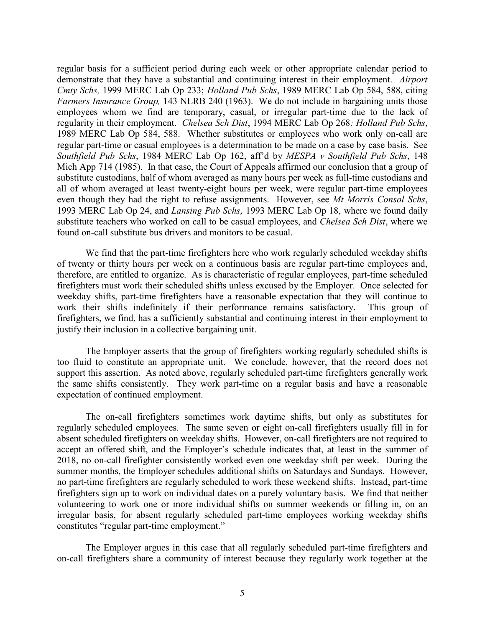regular basis for a sufficient period during each week or other appropriate calendar period to demonstrate that they have a substantial and continuing interest in their employment. *Airport Cmty Schs,* 1999 MERC Lab Op 233; *Holland Pub Schs*, 1989 MERC Lab Op 584, 588, citing *Farmers Insurance Group,* 143 NLRB 240 (1963). We do not include in bargaining units those employees whom we find are temporary, casual, or irregular part-time due to the lack of regularity in their employment. *Chelsea Sch Dist*, 1994 MERC Lab Op 268*; Holland Pub Schs*, 1989 MERC Lab Op 584, 588. Whether substitutes or employees who work only on-call are regular part-time or casual employees is a determination to be made on a case by case basis. See *Southfield Pub Schs*, 1984 MERC Lab Op 162, aff'd by *MESPA v Southfield Pub Schs*, 148 Mich App 714 (1985). In that case, the Court of Appeals affirmed our conclusion that a group of substitute custodians, half of whom averaged as many hours per week as full-time custodians and all of whom averaged at least twenty-eight hours per week, were regular part-time employees even though they had the right to refuse assignments. However, see *Mt Morris Consol Schs*, 1993 MERC Lab Op 24, and *Lansing Pub Schs,* 1993 MERC Lab Op 18, where we found daily substitute teachers who worked on call to be casual employees, and *Chelsea Sch Dist*, where we found on-call substitute bus drivers and monitors to be casual.

We find that the part-time firefighters here who work regularly scheduled weekday shifts of twenty or thirty hours per week on a continuous basis are regular part-time employees and, therefore, are entitled to organize. As is characteristic of regular employees, part-time scheduled firefighters must work their scheduled shifts unless excused by the Employer. Once selected for weekday shifts, part-time firefighters have a reasonable expectation that they will continue to work their shifts indefinitely if their performance remains satisfactory. This group of firefighters, we find, has a sufficiently substantial and continuing interest in their employment to justify their inclusion in a collective bargaining unit.

The Employer asserts that the group of firefighters working regularly scheduled shifts is too fluid to constitute an appropriate unit. We conclude, however, that the record does not support this assertion. As noted above, regularly scheduled part-time firefighters generally work the same shifts consistently. They work part-time on a regular basis and have a reasonable expectation of continued employment.

The on-call firefighters sometimes work daytime shifts, but only as substitutes for regularly scheduled employees. The same seven or eight on-call firefighters usually fill in for absent scheduled firefighters on weekday shifts. However, on-call firefighters are not required to accept an offered shift, and the Employer's schedule indicates that, at least in the summer of 2018, no on-call firefighter consistently worked even one weekday shift per week. During the summer months, the Employer schedules additional shifts on Saturdays and Sundays. However, no part-time firefighters are regularly scheduled to work these weekend shifts. Instead, part-time firefighters sign up to work on individual dates on a purely voluntary basis. We find that neither volunteering to work one or more individual shifts on summer weekends or filling in, on an irregular basis, for absent regularly scheduled part-time employees working weekday shifts constitutes "regular part-time employment."

The Employer argues in this case that all regularly scheduled part-time firefighters and on-call firefighters share a community of interest because they regularly work together at the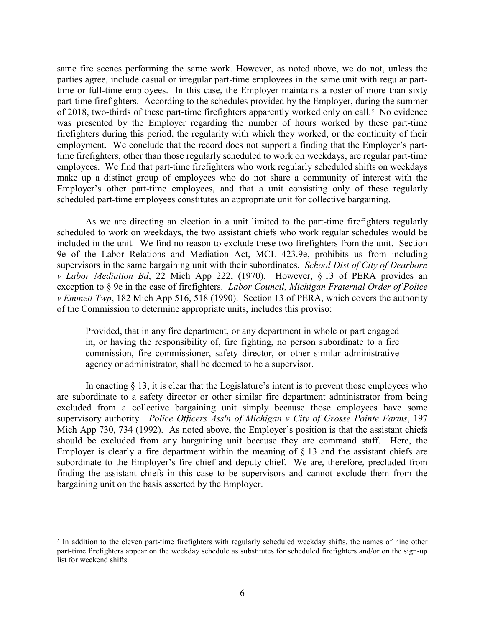same fire scenes performing the same work. However, as noted above, we do not, unless the parties agree, include casual or irregular part-time employees in the same unit with regular parttime or full-time employees. In this case, the Employer maintains a roster of more than sixty part-time firefighters. According to the schedules provided by the Employer, during the summer of 2018, two-thirds of these part-time firefighters apparently worked only on call. *[3](#page-5-0)* No evidence was presented by the Employer regarding the number of hours worked by these part-time firefighters during this period, the regularity with which they worked, or the continuity of their employment. We conclude that the record does not support a finding that the Employer's parttime firefighters, other than those regularly scheduled to work on weekdays, are regular part-time employees. We find that part-time firefighters who work regularly scheduled shifts on weekdays make up a distinct group of employees who do not share a community of interest with the Employer's other part-time employees, and that a unit consisting only of these regularly scheduled part-time employees constitutes an appropriate unit for collective bargaining.

As we are directing an election in a unit limited to the part-time firefighters regularly scheduled to work on weekdays, the two assistant chiefs who work regular schedules would be included in the unit. We find no reason to exclude these two firefighters from the unit. Section 9e of the Labor Relations and Mediation Act, MCL 423.9e, prohibits us from including supervisors in the same bargaining unit with their subordinates. *School Dist of City of Dearborn v Labor Mediation Bd*, 22 Mich App 222, (1970). However, § 13 of PERA provides an exception to § 9e in the case of firefighters. *Labor Council, Michigan Fraternal Order of Police v Emmett Twp*, 182 Mich App 516, 518 (1990). Section 13 of PERA, which covers the authority of the Commission to determine appropriate units, includes this proviso:

Provided, that in any fire department, or any department in whole or part engaged in, or having the responsibility of, fire fighting, no person subordinate to a fire commission, fire commissioner, safety director, or other similar administrative agency or administrator, shall be deemed to be a supervisor.

In enacting  $\S$  13, it is clear that the Legislature's intent is to prevent those employees who are subordinate to a safety director or other similar fire department administrator from being excluded from a collective bargaining unit simply because those employees have some supervisory authority. *Police Officers Ass'n of Michigan v City of Grosse Pointe Farms*, 197 Mich App 730, 734 (1992). As noted above, the Employer's position is that the assistant chiefs should be excluded from any bargaining unit because they are command staff. Here, the Employer is clearly a fire department within the meaning of  $\S$  13 and the assistant chiefs are subordinate to the Employer's fire chief and deputy chief. We are, therefore, precluded from finding the assistant chiefs in this case to be supervisors and cannot exclude them from the bargaining unit on the basis asserted by the Employer.

 $\overline{a}$ 

<span id="page-5-0"></span>*<sup>3</sup>* In addition to the eleven part-time firefighters with regularly scheduled weekday shifts, the names of nine other part-time firefighters appear on the weekday schedule as substitutes for scheduled firefighters and/or on the sign-up list for weekend shifts.